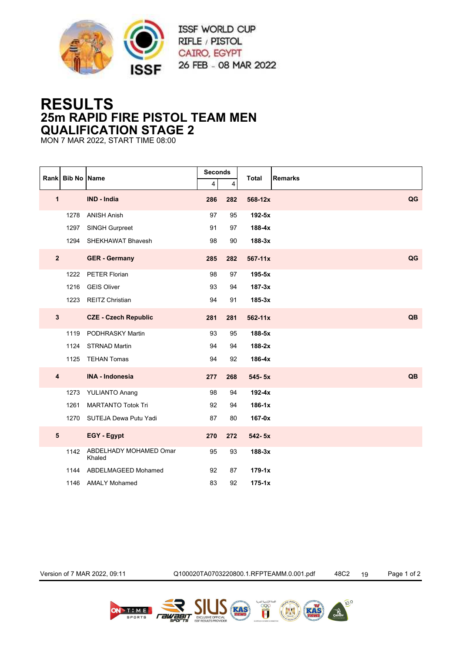

## **RESULTS 25m RAPID FIRE PISTOL TEAM MEN QUALIFICATION STAGE 2**

MON 7 MAR 2022, START TIME 08:00

| Rank |                         |      | <b>Bib No Name</b>               | <b>Seconds</b>          |     | <b>Total</b> | <b>Remarks</b> |
|------|-------------------------|------|----------------------------------|-------------------------|-----|--------------|----------------|
|      |                         |      |                                  | $\overline{\mathbf{4}}$ | 4   |              |                |
|      | 1                       |      | IND - India                      | 286                     | 282 | 568-12x      | QG             |
|      |                         | 1278 | <b>ANISH Anish</b>               | 97                      | 95  | $192-5x$     |                |
|      |                         | 1297 | SINGH Gurpreet                   | 91                      | 97  | 188-4x       |                |
|      |                         | 1294 | SHEKHAWAT Bhavesh                | 98                      | 90  | $188-3x$     |                |
|      | $\overline{2}$          |      | <b>GER</b> - Germany             | 285                     | 282 | $567 - 11x$  | QG             |
|      |                         | 1222 | PETER Florian                    | 98                      | 97  | $195-5x$     |                |
|      |                         | 1216 | <b>GEIS Oliver</b>               | 93                      | 94  | $187-3x$     |                |
|      |                         | 1223 | <b>REITZ Christian</b>           | 94                      | 91  | $185-3x$     |                |
|      | $\mathbf{3}$            |      | <b>CZE - Czech Republic</b>      | 281                     | 281 | 562-11x      | QB             |
|      |                         | 1119 | PODHRASKY Martin                 | 93                      | 95  | 188-5x       |                |
|      |                         | 1124 | <b>STRNAD Martin</b>             | 94                      | 94  | $188-2x$     |                |
|      |                         | 1125 | <b>TEHAN Tomas</b>               | 94                      | 92  | $186-4x$     |                |
|      | $\overline{\mathbf{4}}$ |      | <b>INA - Indonesia</b>           | 277                     | 268 | 545-5x       | QB             |
|      |                         | 1273 | <b>YULIANTO Anang</b>            | 98                      | 94  | $192-4x$     |                |
|      |                         | 1261 | <b>MARTANTO Totok Tri</b>        | 92                      | 94  | $186-1x$     |                |
|      |                         |      | 1270 SUTEJA Dewa Putu Yadi       | 87                      | 80  | 167-0x       |                |
|      | $5\phantom{.0}$         |      | EGY - Egypt                      | 270                     | 272 | $542 - 5x$   |                |
|      |                         | 1142 | ABDELHADY MOHAMED Omar<br>Khaled | 95                      | 93  | $188-3x$     |                |
|      |                         | 1144 | ABDELMAGEED Mohamed              | 92                      | 87  | $179 - 1x$   |                |
|      |                         | 1146 | <b>AMALY Mohamed</b>             | 83                      | 92  | $175 - 1x$   |                |

Version of 7 MAR 2022, 09:11 Q100020TA0703220800.1.RFPTEAMM.0.001.pdf 48C2 19 Page 1 of 2

 $10.9$